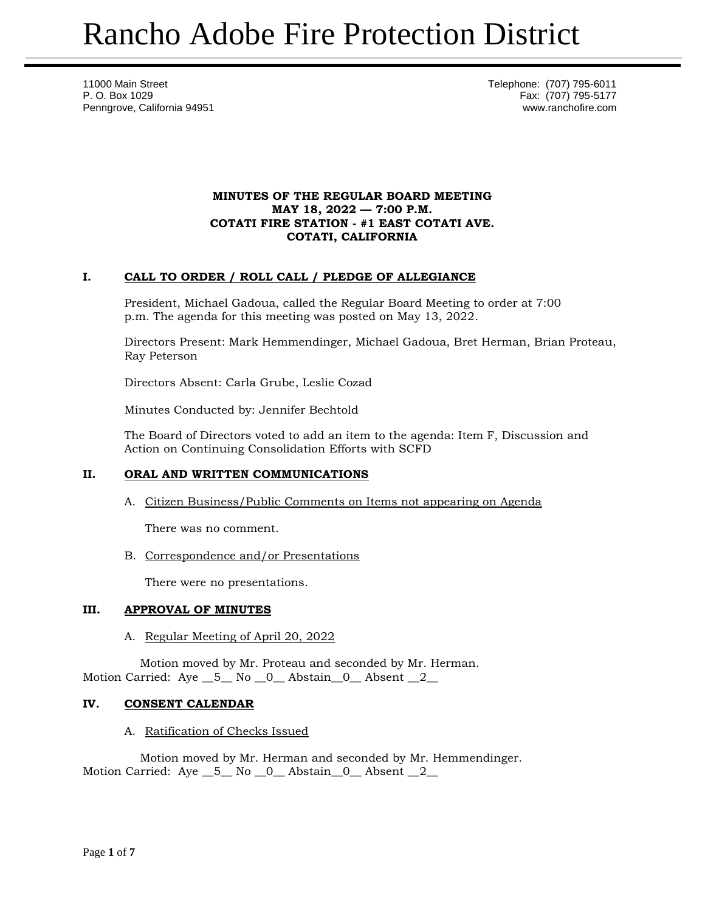11000 Main Street Telephone: (707) 795-6011 P. O. Box 1029 Fax: (707) 795-5177 Penngrove, California 94951 www.ranchofire.com

## **MINUTES OF THE REGULAR BOARD MEETING MAY 18, 2022 — 7:00 P.M. COTATI FIRE STATION - #1 EAST COTATI AVE. COTATI, CALIFORNIA**

# **I. CALL TO ORDER / ROLL CALL / PLEDGE OF ALLEGIANCE**

President, Michael Gadoua, called the Regular Board Meeting to order at 7:00 p.m. The agenda for this meeting was posted on May 13, 2022.

Directors Present: Mark Hemmendinger, Michael Gadoua, Bret Herman, Brian Proteau, Ray Peterson

Directors Absent: Carla Grube, Leslie Cozad

Minutes Conducted by: Jennifer Bechtold

The Board of Directors voted to add an item to the agenda: Item F, Discussion and Action on Continuing Consolidation Efforts with SCFD

# **II. ORAL AND WRITTEN COMMUNICATIONS**

A. Citizen Business/Public Comments on Items not appearing on Agenda

There was no comment.

B. Correspondence and/or Presentations

There were no presentations.

## **III. APPROVAL OF MINUTES**

# A. Regular Meeting of April 20, 2022

Motion moved by Mr. Proteau and seconded by Mr. Herman. Motion Carried: Aye \_5\_ No \_0\_ Abstain \_0\_ Absent \_2\_

# **IV. CONSENT CALENDAR**

## A. Ratification of Checks Issued

Motion moved by Mr. Herman and seconded by Mr. Hemmendinger. Motion Carried: Aye \_\_5\_\_ No \_\_0\_\_ Abstain\_\_0\_\_ Absent \_\_2\_\_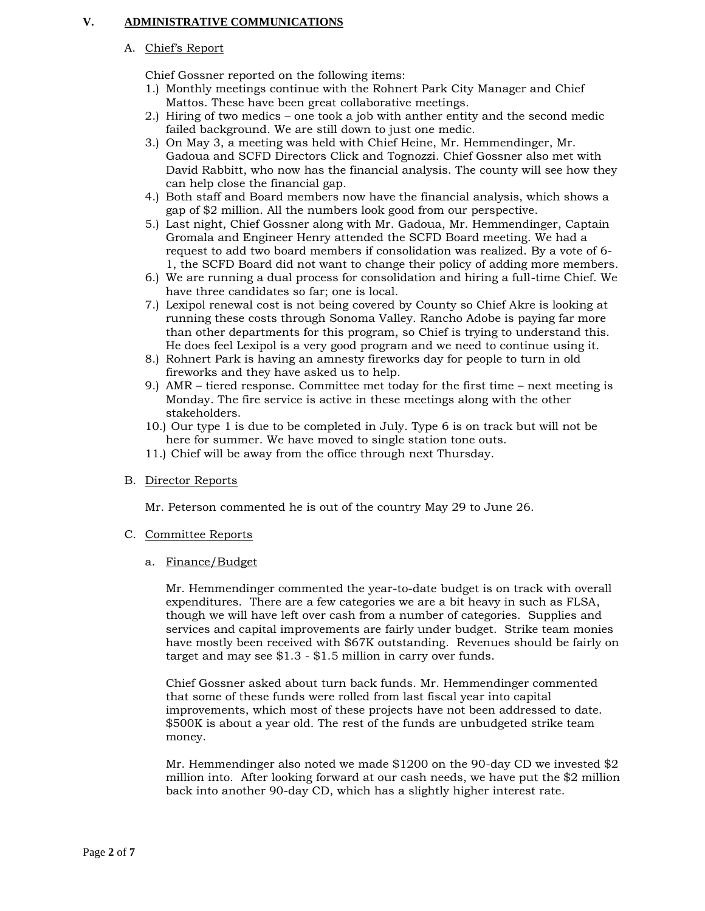## **V. ADMINISTRATIVE COMMUNICATIONS**

## A. Chief's Report

Chief Gossner reported on the following items:

- 1.) Monthly meetings continue with the Rohnert Park City Manager and Chief Mattos. These have been great collaborative meetings.
- 2.) Hiring of two medics one took a job with anther entity and the second medic failed background. We are still down to just one medic.
- 3.) On May 3, a meeting was held with Chief Heine, Mr. Hemmendinger, Mr. Gadoua and SCFD Directors Click and Tognozzi. Chief Gossner also met with David Rabbitt, who now has the financial analysis. The county will see how they can help close the financial gap.
- 4.) Both staff and Board members now have the financial analysis, which shows a gap of \$2 million. All the numbers look good from our perspective.
- 5.) Last night, Chief Gossner along with Mr. Gadoua, Mr. Hemmendinger, Captain Gromala and Engineer Henry attended the SCFD Board meeting. We had a request to add two board members if consolidation was realized. By a vote of 6- 1, the SCFD Board did not want to change their policy of adding more members.
- 6.) We are running a dual process for consolidation and hiring a full-time Chief. We have three candidates so far; one is local.
- 7.) Lexipol renewal cost is not being covered by County so Chief Akre is looking at running these costs through Sonoma Valley. Rancho Adobe is paying far more than other departments for this program, so Chief is trying to understand this. He does feel Lexipol is a very good program and we need to continue using it.
- 8.) Rohnert Park is having an amnesty fireworks day for people to turn in old fireworks and they have asked us to help.
- 9.) AMR tiered response. Committee met today for the first time next meeting is Monday. The fire service is active in these meetings along with the other stakeholders.
- 10.) Our type 1 is due to be completed in July. Type 6 is on track but will not be here for summer. We have moved to single station tone outs.
- 11.) Chief will be away from the office through next Thursday.

## B. Director Reports

Mr. Peterson commented he is out of the country May 29 to June 26.

## C. Committee Reports

a. Finance/Budget

Mr. Hemmendinger commented the year-to-date budget is on track with overall expenditures. There are a few categories we are a bit heavy in such as FLSA, though we will have left over cash from a number of categories. Supplies and services and capital improvements are fairly under budget. Strike team monies have mostly been received with \$67K outstanding. Revenues should be fairly on target and may see \$1.3 - \$1.5 million in carry over funds.

Chief Gossner asked about turn back funds. Mr. Hemmendinger commented that some of these funds were rolled from last fiscal year into capital improvements, which most of these projects have not been addressed to date. \$500K is about a year old. The rest of the funds are unbudgeted strike team money.

Mr. Hemmendinger also noted we made \$1200 on the 90-day CD we invested \$2 million into. After looking forward at our cash needs, we have put the \$2 million back into another 90-day CD, which has a slightly higher interest rate.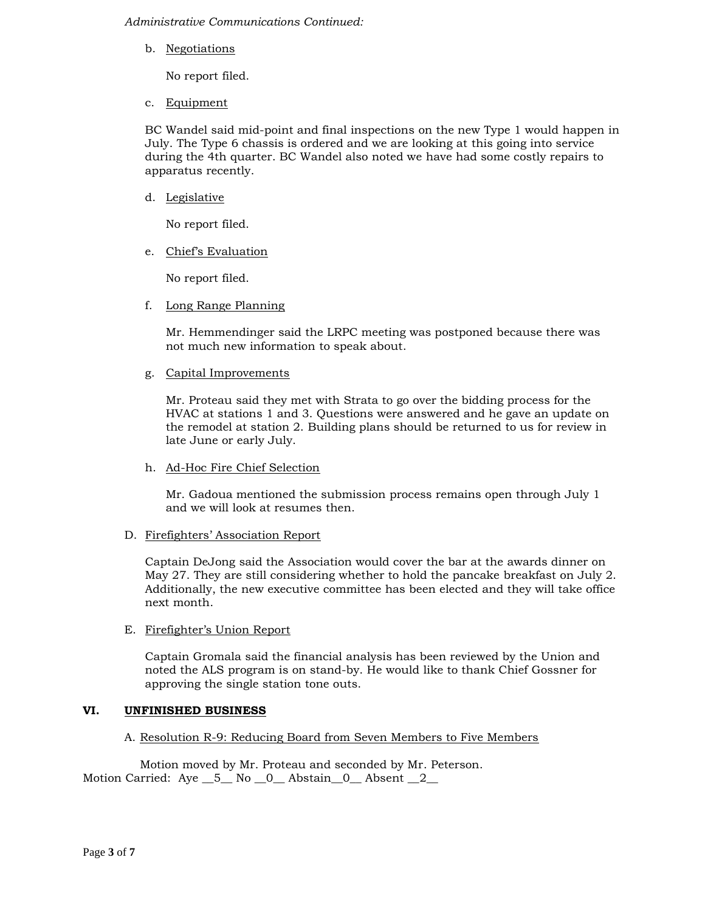*Administrative Communications Continued:*

b. Negotiations

No report filed.

c. Equipment

BC Wandel said mid-point and final inspections on the new Type 1 would happen in July. The Type 6 chassis is ordered and we are looking at this going into service during the 4th quarter. BC Wandel also noted we have had some costly repairs to apparatus recently.

d. Legislative

No report filed.

e. Chief's Evaluation

No report filed.

f. Long Range Planning

Mr. Hemmendinger said the LRPC meeting was postponed because there was not much new information to speak about.

g. Capital Improvements

Mr. Proteau said they met with Strata to go over the bidding process for the HVAC at stations 1 and 3. Questions were answered and he gave an update on the remodel at station 2. Building plans should be returned to us for review in late June or early July.

h. Ad-Hoc Fire Chief Selection

Mr. Gadoua mentioned the submission process remains open through July 1 and we will look at resumes then.

D. Firefighters' Association Report

Captain DeJong said the Association would cover the bar at the awards dinner on May 27. They are still considering whether to hold the pancake breakfast on July 2. Additionally, the new executive committee has been elected and they will take office next month.

E. Firefighter's Union Report

Captain Gromala said the financial analysis has been reviewed by the Union and noted the ALS program is on stand-by. He would like to thank Chief Gossner for approving the single station tone outs.

## **VI. UNFINISHED BUSINESS**

## A. Resolution R-9: Reducing Board from Seven Members to Five Members

Motion moved by Mr. Proteau and seconded by Mr. Peterson. Motion Carried: Aye \_5\_ No \_0\_ Abstain\_0\_ Absent \_2\_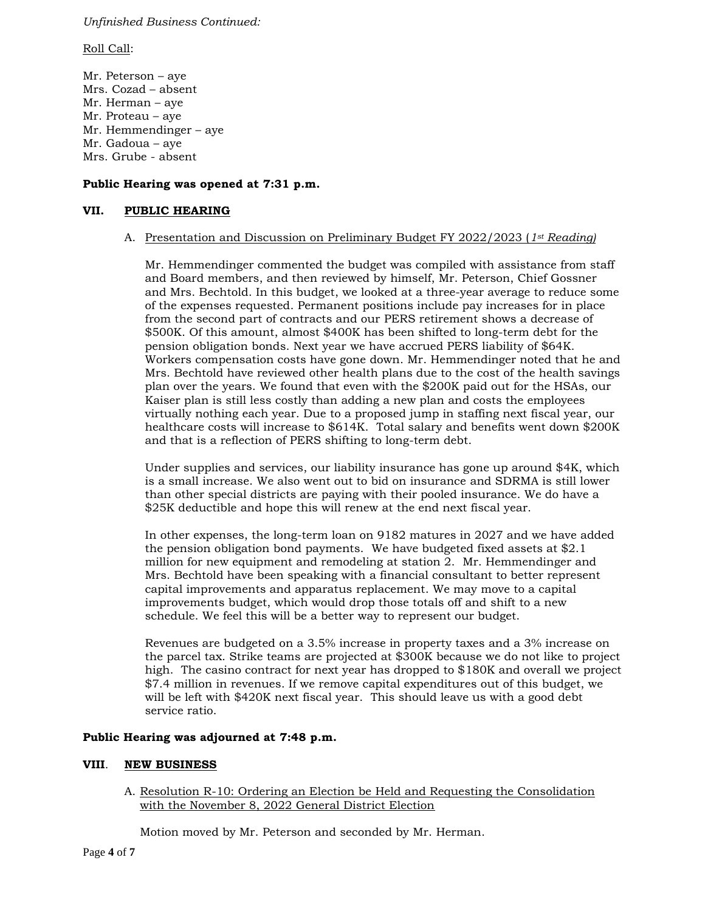## *Unfinished Business Continued:*

#### Roll Call:

Mr. Peterson – aye Mrs. Cozad – absent Mr. Herman – aye Mr. Proteau – aye Mr. Hemmendinger – aye Mr. Gadoua – aye Mrs. Grube - absent

## **Public Hearing was opened at 7:31 p.m.**

## **VII. PUBLIC HEARING**

## A. Presentation and Discussion on Preliminary Budget FY 2022/2023 (*1st Reading)*

Mr. Hemmendinger commented the budget was compiled with assistance from staff and Board members, and then reviewed by himself, Mr. Peterson, Chief Gossner and Mrs. Bechtold. In this budget, we looked at a three-year average to reduce some of the expenses requested. Permanent positions include pay increases for in place from the second part of contracts and our PERS retirement shows a decrease of \$500K. Of this amount, almost \$400K has been shifted to long-term debt for the pension obligation bonds. Next year we have accrued PERS liability of \$64K. Workers compensation costs have gone down. Mr. Hemmendinger noted that he and Mrs. Bechtold have reviewed other health plans due to the cost of the health savings plan over the years. We found that even with the \$200K paid out for the HSAs, our Kaiser plan is still less costly than adding a new plan and costs the employees virtually nothing each year. Due to a proposed jump in staffing next fiscal year, our healthcare costs will increase to \$614K. Total salary and benefits went down \$200K and that is a reflection of PERS shifting to long-term debt.

Under supplies and services, our liability insurance has gone up around \$4K, which is a small increase. We also went out to bid on insurance and SDRMA is still lower than other special districts are paying with their pooled insurance. We do have a \$25K deductible and hope this will renew at the end next fiscal year.

In other expenses, the long-term loan on 9182 matures in 2027 and we have added the pension obligation bond payments. We have budgeted fixed assets at \$2.1 million for new equipment and remodeling at station 2. Mr. Hemmendinger and Mrs. Bechtold have been speaking with a financial consultant to better represent capital improvements and apparatus replacement. We may move to a capital improvements budget, which would drop those totals off and shift to a new schedule. We feel this will be a better way to represent our budget.

Revenues are budgeted on a 3.5% increase in property taxes and a 3% increase on the parcel tax. Strike teams are projected at \$300K because we do not like to project high. The casino contract for next year has dropped to \$180K and overall we project \$7.4 million in revenues. If we remove capital expenditures out of this budget, we will be left with \$420K next fiscal year. This should leave us with a good debt service ratio.

## **Public Hearing was adjourned at 7:48 p.m.**

## **VIII**. **NEW BUSINESS**

A. Resolution R-10: Ordering an Election be Held and Requesting the Consolidation with the November 8, 2022 General District Election

Motion moved by Mr. Peterson and seconded by Mr. Herman.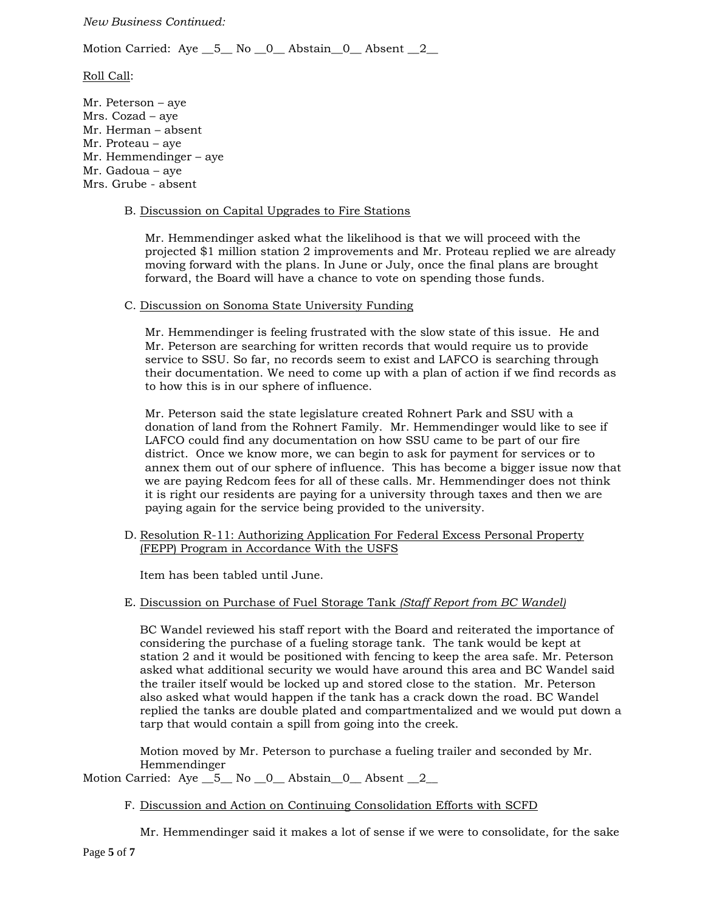## *New Business Continued:*

Motion Carried: Aye \_5\_ No \_0\_ Abstain \_0\_ Absent \_2\_

## Roll Call:

Mr. Peterson – aye Mrs. Cozad – aye Mr. Herman – absent Mr. Proteau – aye Mr. Hemmendinger – aye Mr. Gadoua – aye Mrs. Grube - absent

#### B. Discussion on Capital Upgrades to Fire Stations

Mr. Hemmendinger asked what the likelihood is that we will proceed with the projected \$1 million station 2 improvements and Mr. Proteau replied we are already moving forward with the plans. In June or July, once the final plans are brought forward, the Board will have a chance to vote on spending those funds.

#### C. Discussion on Sonoma State University Funding

Mr. Hemmendinger is feeling frustrated with the slow state of this issue. He and Mr. Peterson are searching for written records that would require us to provide service to SSU. So far, no records seem to exist and LAFCO is searching through their documentation. We need to come up with a plan of action if we find records as to how this is in our sphere of influence.

Mr. Peterson said the state legislature created Rohnert Park and SSU with a donation of land from the Rohnert Family. Mr. Hemmendinger would like to see if LAFCO could find any documentation on how SSU came to be part of our fire district. Once we know more, we can begin to ask for payment for services or to annex them out of our sphere of influence. This has become a bigger issue now that we are paying Redcom fees for all of these calls. Mr. Hemmendinger does not think it is right our residents are paying for a university through taxes and then we are paying again for the service being provided to the university.

D. Resolution R-11: Authorizing Application For Federal Excess Personal Property (FEPP) Program in Accordance With the USFS

Item has been tabled until June.

E. Discussion on Purchase of Fuel Storage Tank *(Staff Report from BC Wandel)*

BC Wandel reviewed his staff report with the Board and reiterated the importance of considering the purchase of a fueling storage tank. The tank would be kept at station 2 and it would be positioned with fencing to keep the area safe. Mr. Peterson asked what additional security we would have around this area and BC Wandel said the trailer itself would be locked up and stored close to the station. Mr. Peterson also asked what would happen if the tank has a crack down the road. BC Wandel replied the tanks are double plated and compartmentalized and we would put down a tarp that would contain a spill from going into the creek.

Motion moved by Mr. Peterson to purchase a fueling trailer and seconded by Mr. Hemmendinger

Motion Carried: Aye \_5\_ No \_0\_ Abstain \_0\_ Absent \_2\_

F. Discussion and Action on Continuing Consolidation Efforts with SCFD

Mr. Hemmendinger said it makes a lot of sense if we were to consolidate, for the sake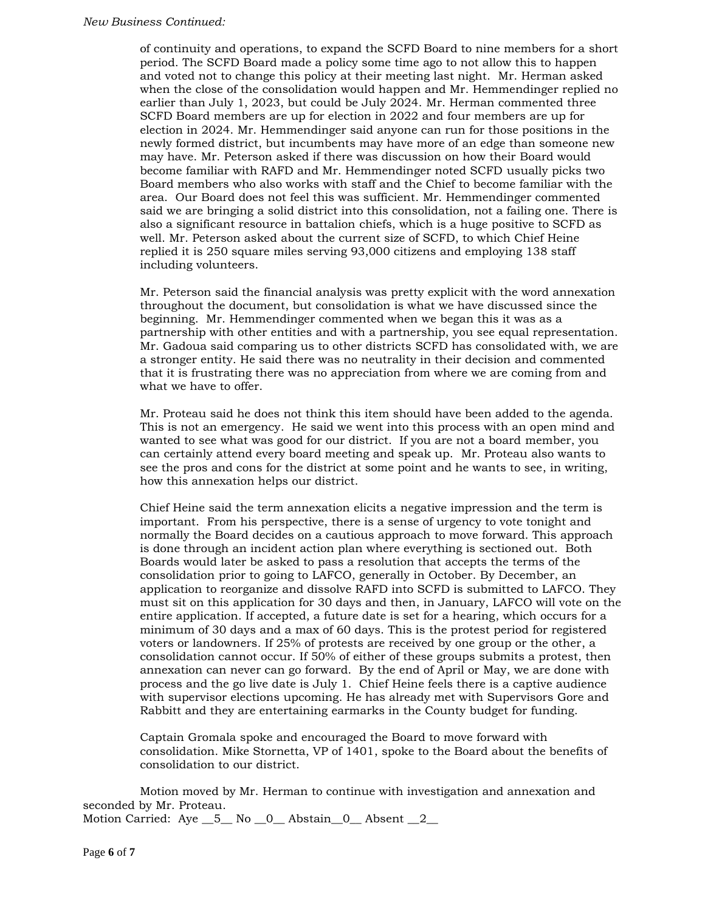#### *New Business Continued:*

of continuity and operations, to expand the SCFD Board to nine members for a short period. The SCFD Board made a policy some time ago to not allow this to happen and voted not to change this policy at their meeting last night. Mr. Herman asked when the close of the consolidation would happen and Mr. Hemmendinger replied no earlier than July 1, 2023, but could be July 2024. Mr. Herman commented three SCFD Board members are up for election in 2022 and four members are up for election in 2024. Mr. Hemmendinger said anyone can run for those positions in the newly formed district, but incumbents may have more of an edge than someone new may have. Mr. Peterson asked if there was discussion on how their Board would become familiar with RAFD and Mr. Hemmendinger noted SCFD usually picks two Board members who also works with staff and the Chief to become familiar with the area. Our Board does not feel this was sufficient. Mr. Hemmendinger commented said we are bringing a solid district into this consolidation, not a failing one. There is also a significant resource in battalion chiefs, which is a huge positive to SCFD as well. Mr. Peterson asked about the current size of SCFD, to which Chief Heine replied it is 250 square miles serving 93,000 citizens and employing 138 staff including volunteers.

Mr. Peterson said the financial analysis was pretty explicit with the word annexation throughout the document, but consolidation is what we have discussed since the beginning. Mr. Hemmendinger commented when we began this it was as a partnership with other entities and with a partnership, you see equal representation. Mr. Gadoua said comparing us to other districts SCFD has consolidated with, we are a stronger entity. He said there was no neutrality in their decision and commented that it is frustrating there was no appreciation from where we are coming from and what we have to offer.

Mr. Proteau said he does not think this item should have been added to the agenda. This is not an emergency. He said we went into this process with an open mind and wanted to see what was good for our district. If you are not a board member, you can certainly attend every board meeting and speak up. Mr. Proteau also wants to see the pros and cons for the district at some point and he wants to see, in writing, how this annexation helps our district.

Chief Heine said the term annexation elicits a negative impression and the term is important. From his perspective, there is a sense of urgency to vote tonight and normally the Board decides on a cautious approach to move forward. This approach is done through an incident action plan where everything is sectioned out. Both Boards would later be asked to pass a resolution that accepts the terms of the consolidation prior to going to LAFCO, generally in October. By December, an application to reorganize and dissolve RAFD into SCFD is submitted to LAFCO. They must sit on this application for 30 days and then, in January, LAFCO will vote on the entire application. If accepted, a future date is set for a hearing, which occurs for a minimum of 30 days and a max of 60 days. This is the protest period for registered voters or landowners. If 25% of protests are received by one group or the other, a consolidation cannot occur. If 50% of either of these groups submits a protest, then annexation can never can go forward. By the end of April or May, we are done with process and the go live date is July 1. Chief Heine feels there is a captive audience with supervisor elections upcoming. He has already met with Supervisors Gore and Rabbitt and they are entertaining earmarks in the County budget for funding.

Captain Gromala spoke and encouraged the Board to move forward with consolidation. Mike Stornetta, VP of 1401, spoke to the Board about the benefits of consolidation to our district.

Motion moved by Mr. Herman to continue with investigation and annexation and seconded by Mr. Proteau. Motion Carried:  $Aye$   $\underline{\hspace{1em}}$  5 No  $\underline{\hspace{1em}}$  0 Abstain 0 Absent 2